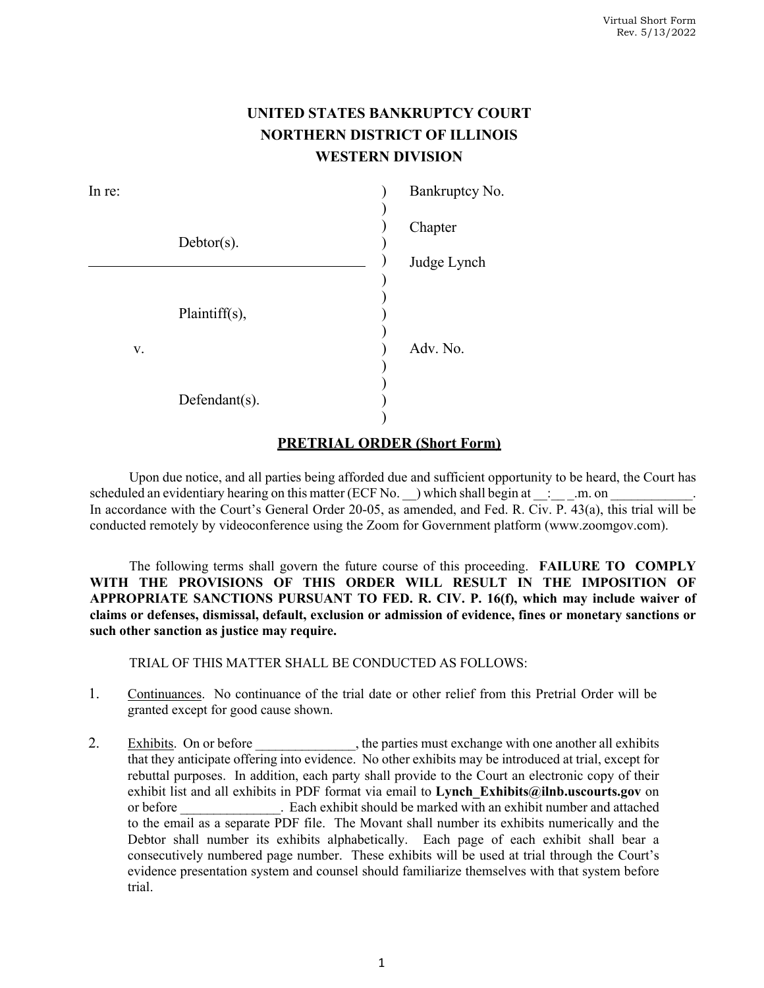## **UNITED STATES BANKRUPTCY COURT NORTHERN DISTRICT OF ILLINOIS WESTERN DIVISION**

| In re: |               | Bankruptcy No. |
|--------|---------------|----------------|
|        |               | Chapter        |
|        | $Debtor(s)$ . |                |
|        |               | Judge Lynch    |
|        | Plaintiff(s), |                |
| V.     |               | Adv. No.       |
|        | Defendant(s). |                |

## **PRETRIAL ORDER (Short Form)**

Upon due notice, and all parties being afforded due and sufficient opportunity to be heard, the Court has scheduled an evidentiary hearing on this matter (ECF No.  $\Box$ ) which shall begin at  $\Box$ : \_\_\_\_.m. on In accordance with the Court's General Order 20-05, as amended, and Fed. R. Civ. P. 43(a), this trial will be conducted remotely by videoconference using the Zoom for Government platform (www.zoomgov.com).

The following terms shall govern the future course of this proceeding. **FAILURE TO COMPLY WITH THE PROVISIONS OF THIS ORDER WILL RESULT IN THE IMPOSITION OF APPROPRIATE SANCTIONS PURSUANT TO FED. R. CIV. P. 16(f), which may include waiver of claims or defenses, dismissal, default, exclusion or admission of evidence, fines or monetary sanctions or such other sanction as justice may require.** 

TRIAL OF THIS MATTER SHALL BE CONDUCTED AS FOLLOWS:

- 1. Continuances.No continuance of the trial date or other relief from this Pretrial Order will be granted except for good cause shown.
- 2. Exhibits. On or before \_\_\_\_\_\_\_\_\_\_\_\_, the parties must exchange with one another all exhibits that they anticipate offering into evidence. No other exhibits may be introduced at trial, except for rebuttal purposes. In addition, each party shall provide to the Court an electronic copy of their exhibit list and all exhibits in PDF format via email to **Lynch** Exhibits@ilnb.uscourts.gov on or before . Each exhibit should be marked with an exhibit number and attached to the email as a separate PDF file. The Movant shall number its exhibits numerically and the Debtor shall number its exhibits alphabetically. Each page of each exhibit shall bear a consecutively numbered page number. These exhibits will be used at trial through the Court's evidence presentation system and counsel should familiarize themselves with that system before trial.